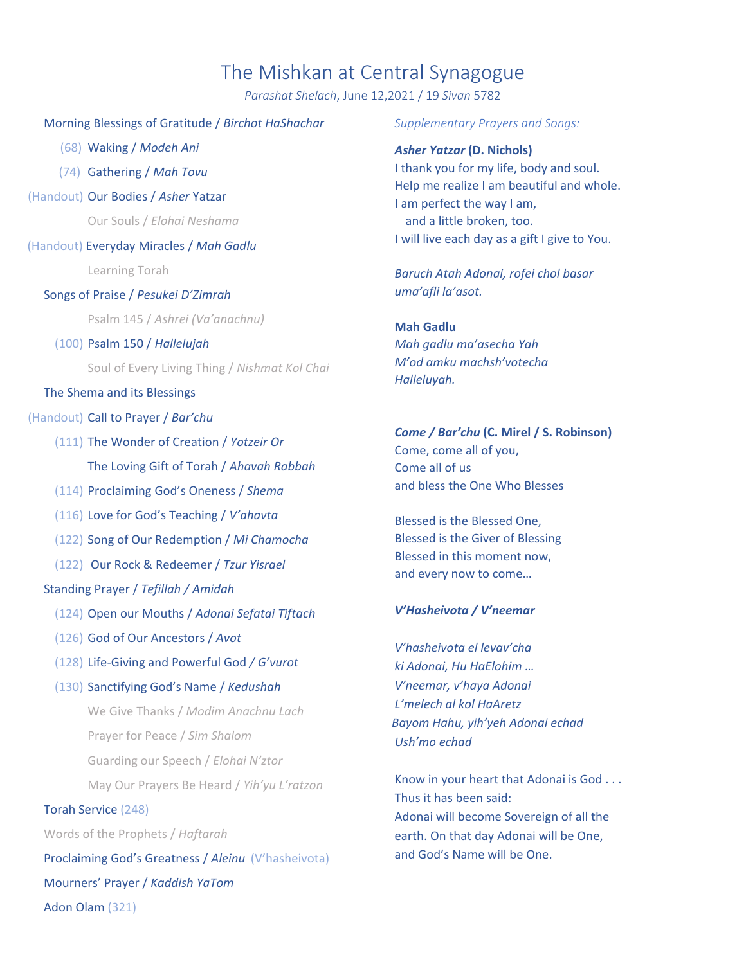# The Mishkan at Central Synagogue

*Parashat Shelach*, June 12,2021 / 19 *Sivan* 5782

#### Morning Blessings of Gratitude / *Birchot HaShachar*

(68) Waking / *Modeh Ani*

- (74) Gathering / *Mah Tovu*
- (Handout) Our Bodies / *Asher* Yatzar

Our Souls / *Elohai Neshama*

(Handout) Everyday Miracles / *Mah Gadlu*

Learning Torah

Songs of Praise / *Pesukei D'Zimrah*

Psalm 145 / *Ashrei (Va'anachnu)*

#### (100) Psalm 150 / *Hallelujah*

Soul of Every Living Thing / *Nishmat Kol Chai*

#### The Shema and its Blessings

#### (Handout) Call to Prayer / *Bar'chu*

- (111) The Wonder of Creation / *Yotzeir Or* The Loving Gift of Torah / *Ahavah Rabbah*
- (114) Proclaiming God's Oneness / *Shema*
- (116) Love for God's Teaching / *V'ahavta*
- (122) Song of Our Redemption / *Mi Chamocha*
- (122) Our Rock & Redeemer / *Tzur Yisrael*

### Standing Prayer / *Tefillah / Amidah*

- (124) Open our Mouths / *Adonai Sefatai Tiftach*
- (126) God of Our Ancestors / *Avot*
- (128) Life‐Giving and Powerful God */ G'vurot*
- (130) Sanctifying God's Name / *Kedushah*

We Give Thanks / *Modim Anachnu Lach* Prayer for Peace / *Sim Shalom* Guarding our Speech / *Elohai N'ztor* May Our Prayers Be Heard / *Yih'yu L'ratzon*

#### Torah Service (248)

Words of the Prophets / *Haftarah*

Proclaiming God's Greatness / *Aleinu* (V'hasheivota) Mourners' Prayer / *Kaddish YaTom* Adon Olam (321)

#### *Supplementary Prayers and Songs:*

*Asher Yatzar* **(D. Nichols)** I thank you for my life, body and soul. Help me realize I am beautiful and whole. I am perfect the way I am, and a little broken, too. I will live each day as a gift I give to You.

*Baruch Atah Adonai, rofei chol basar uma'afli la'asot.*

#### **Mah Gadlu**

*Mah gadlu ma'asecha Yah M'od amku machsh'votecha Halleluyah.*

## *Come / Bar'chu* **(C. Mirel / S. Robinson)**

Come, come all of you, Come all of us and bless the One Who Blesses

Blessed is the Blessed One, Blessed is the Giver of Blessing Blessed in this moment now, and every now to come…

#### *V'Hasheivota / V'neemar*

*V'hasheivota el levav'cha ki Adonai, Hu HaElohim … V'neemar, v'haya Adonai L'melech al kol HaAretz Bayom Hahu, yih'yeh Adonai echad Ush'mo echad*

Know in your heart that Adonai is God . . . Thus it has been said: Adonai will become Sovereign of all the earth. On that day Adonai will be One, and God's Name will be One.